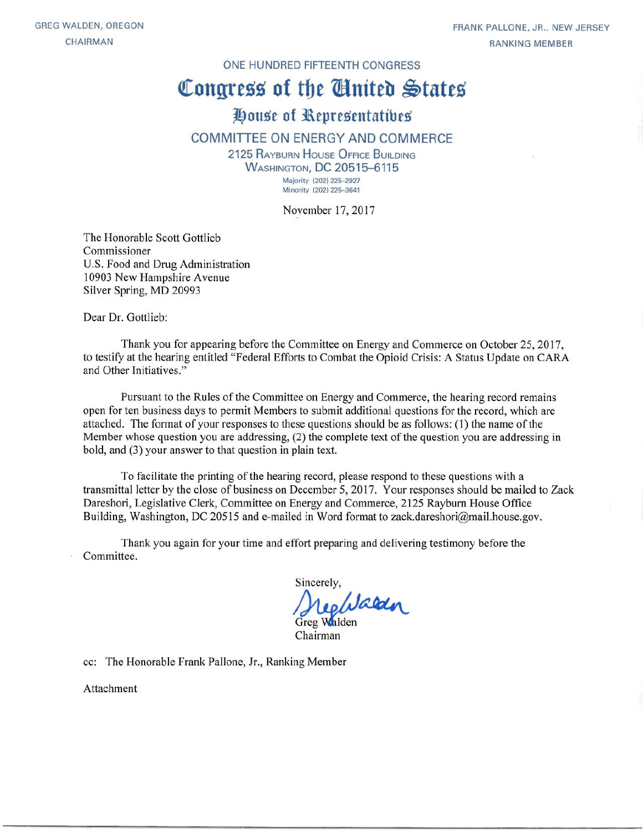#### ONE HUNDRED FIFTEENTH CONGRESS

# Congress of the Cinited States

## House of Representatives

#### **COMMITTEE ON ENERGY AND COMMERCE**

2125 RAYBURN HOUSE OFFICE BUILDING **WASHINGTON, DC 20515-6115** Majority (202) 225-2927 Minority (202) 225-3641

November 17, 2017

The Honorable Scott Gottlieb Commissioner U.S. Food and Drug Administration 10903 New Hampshire Avenue Silver Spring, MD 20993

Dear Dr. Gottlieb:

Thank you for appearing before the Committee on Energy and Commerce on October 25, 2017, to testify at the hearing entitled "Federal Efforts to Combat the Opioid Crisis: A Status Update on CARA and Other Initiatives."

Pursuant to the Rules of the Committee on Energy and Commerce, the hearing record remains open for ten business days to permit Members to submit additional questions for the record, which are attached. The format of your responses to these questions should be as follows: (1) the name of the Member whose question you are addressing, (2) the complete text of the question you are addressing in bold, and (3) your answer to that question in plain text.

To facilitate the printing of the hearing record, please respond to these questions with a transmittal letter by the close of business on December 5, 2017. Your responses should be mailed to Zack Dareshori, Legislative Clerk, Committee on Energy and Commerce, 2125 Rayburn House Office Building, Washington, DC 20515 and e-mailed in Word format to zack.dareshori@mail.house.gov.

Thank you again for your time and effort preparing and delivering testimony before the Committee.

Sincerely, Regulated

Chairman

cc: The Honorable Frank Pallone, Jr., Ranking Member

Attachment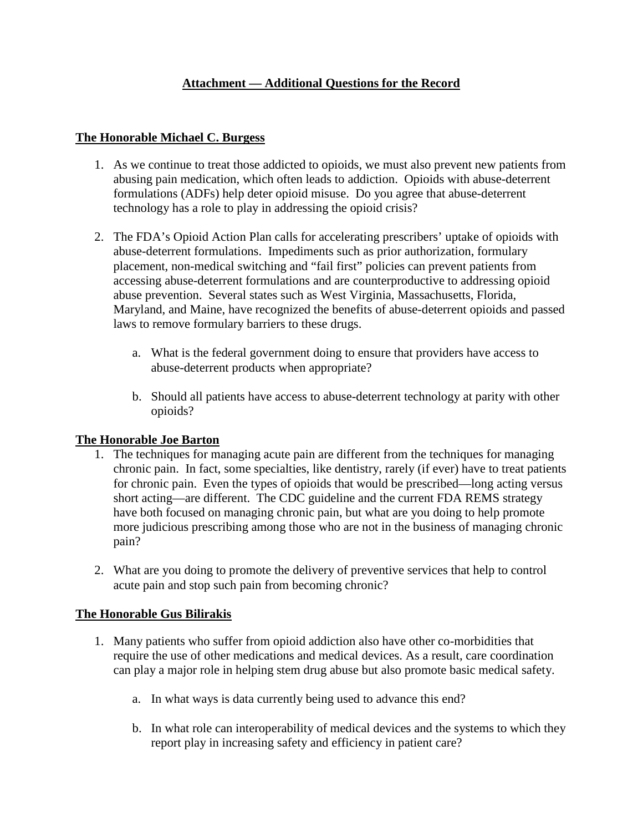### **Attachment — Additional Questions for the Record**

#### **The Honorable Michael C. Burgess**

- 1. As we continue to treat those addicted to opioids, we must also prevent new patients from abusing pain medication, which often leads to addiction. Opioids with abuse-deterrent formulations (ADFs) help deter opioid misuse. Do you agree that abuse-deterrent technology has a role to play in addressing the opioid crisis?
- 2. The FDA's Opioid Action Plan calls for accelerating prescribers' uptake of opioids with abuse-deterrent formulations. Impediments such as prior authorization, formulary placement, non-medical switching and "fail first" policies can prevent patients from accessing abuse-deterrent formulations and are counterproductive to addressing opioid abuse prevention. Several states such as West Virginia, Massachusetts, Florida, Maryland, and Maine, have recognized the benefits of abuse-deterrent opioids and passed laws to remove formulary barriers to these drugs.
	- a. What is the federal government doing to ensure that providers have access to abuse-deterrent products when appropriate?
	- b. Should all patients have access to abuse-deterrent technology at parity with other opioids?

#### **The Honorable Joe Barton**

- 1. The techniques for managing acute pain are different from the techniques for managing chronic pain. In fact, some specialties, like dentistry, rarely (if ever) have to treat patients for chronic pain. Even the types of opioids that would be prescribed—long acting versus short acting—are different. The CDC guideline and the current FDA REMS strategy have both focused on managing chronic pain, but what are you doing to help promote more judicious prescribing among those who are not in the business of managing chronic pain?
- 2. What are you doing to promote the delivery of preventive services that help to control acute pain and stop such pain from becoming chronic?

#### **The Honorable Gus Bilirakis**

- 1. Many patients who suffer from opioid addiction also have other co-morbidities that require the use of other medications and medical devices. As a result, care coordination can play a major role in helping stem drug abuse but also promote basic medical safety.
	- a. In what ways is data currently being used to advance this end?
	- b. In what role can interoperability of medical devices and the systems to which they report play in increasing safety and efficiency in patient care?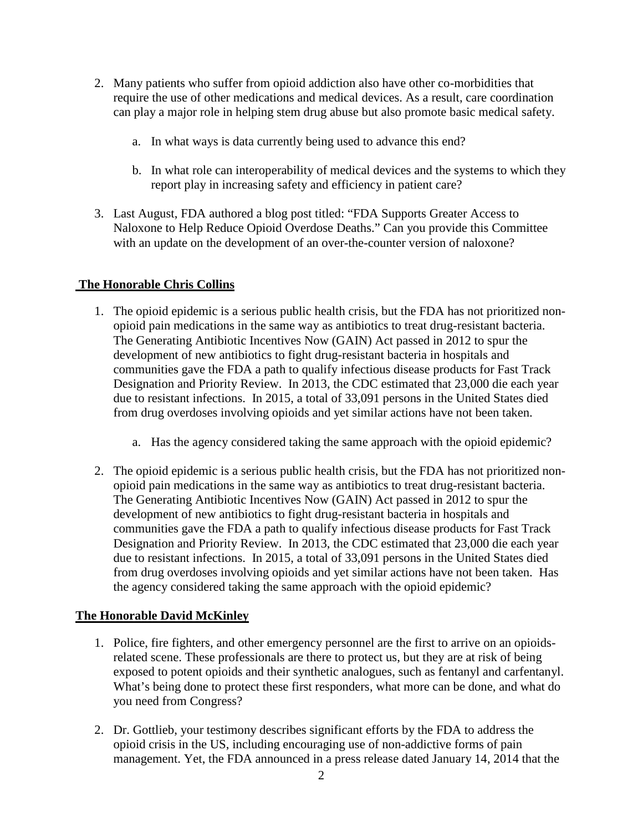- 2. Many patients who suffer from opioid addiction also have other co-morbidities that require the use of other medications and medical devices. As a result, care coordination can play a major role in helping stem drug abuse but also promote basic medical safety.
	- a. In what ways is data currently being used to advance this end?
	- b. In what role can interoperability of medical devices and the systems to which they report play in increasing safety and efficiency in patient care?
- 3. Last August, FDA authored a blog post titled: "FDA Supports Greater Access to Naloxone to Help Reduce Opioid Overdose Deaths." Can you provide this Committee with an update on the development of an over-the-counter version of naloxone?

#### **The Honorable Chris Collins**

- 1. The opioid epidemic is a serious public health crisis, but the FDA has not prioritized nonopioid pain medications in the same way as antibiotics to treat drug-resistant bacteria. The Generating Antibiotic Incentives Now (GAIN) Act passed in 2012 to spur the development of new antibiotics to fight drug-resistant bacteria in hospitals and communities gave the FDA a path to qualify infectious disease products for Fast Track Designation and Priority Review. In 2013, the CDC estimated that 23,000 die each year due to resistant infections. In 2015, a total of 33,091 persons in the United States died from drug overdoses involving opioids and yet similar actions have not been taken.
	- a. Has the agency considered taking the same approach with the opioid epidemic?
- 2. The opioid epidemic is a serious public health crisis, but the FDA has not prioritized nonopioid pain medications in the same way as antibiotics to treat drug-resistant bacteria. The Generating Antibiotic Incentives Now (GAIN) Act passed in 2012 to spur the development of new antibiotics to fight drug-resistant bacteria in hospitals and communities gave the FDA a path to qualify infectious disease products for Fast Track Designation and Priority Review. In 2013, the CDC estimated that 23,000 die each year due to resistant infections. In 2015, a total of 33,091 persons in the United States died from drug overdoses involving opioids and yet similar actions have not been taken. Has the agency considered taking the same approach with the opioid epidemic?

#### **The Honorable David McKinley**

- 1. Police, fire fighters, and other emergency personnel are the first to arrive on an opioidsrelated scene. These professionals are there to protect us, but they are at risk of being exposed to potent opioids and their synthetic analogues, such as fentanyl and carfentanyl. What's being done to protect these first responders, what more can be done, and what do you need from Congress?
- 2. Dr. Gottlieb, your testimony describes significant efforts by the FDA to address the opioid crisis in the US, including encouraging use of non-addictive forms of pain management. Yet, the FDA announced in a press release dated January 14, 2014 that the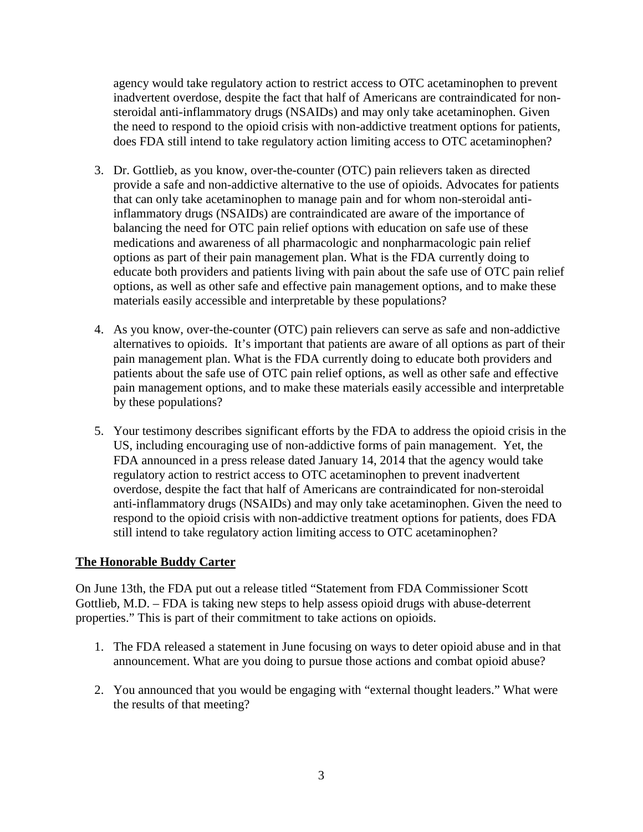agency would take regulatory action to restrict access to OTC acetaminophen to prevent inadvertent overdose, despite the fact that half of Americans are contraindicated for nonsteroidal anti-inflammatory drugs (NSAIDs) and may only take acetaminophen. Given the need to respond to the opioid crisis with non-addictive treatment options for patients, does FDA still intend to take regulatory action limiting access to OTC acetaminophen?

- 3. Dr. Gottlieb, as you know, over-the-counter (OTC) pain relievers taken as directed provide a safe and non-addictive alternative to the use of opioids. Advocates for patients that can only take acetaminophen to manage pain and for whom non-steroidal antiinflammatory drugs (NSAIDs) are contraindicated are aware of the importance of balancing the need for OTC pain relief options with education on safe use of these medications and awareness of all pharmacologic and nonpharmacologic pain relief options as part of their pain management plan. What is the FDA currently doing to educate both providers and patients living with pain about the safe use of OTC pain relief options, as well as other safe and effective pain management options, and to make these materials easily accessible and interpretable by these populations?
- 4. As you know, over-the-counter (OTC) pain relievers can serve as safe and non-addictive alternatives to opioids. It's important that patients are aware of all options as part of their pain management plan. What is the FDA currently doing to educate both providers and patients about the safe use of OTC pain relief options, as well as other safe and effective pain management options, and to make these materials easily accessible and interpretable by these populations?
- 5. Your testimony describes significant efforts by the FDA to address the opioid crisis in the US, including encouraging use of non-addictive forms of pain management. Yet, the FDA announced in a press release dated January 14, 2014 that the agency would take regulatory action to restrict access to OTC acetaminophen to prevent inadvertent overdose, despite the fact that half of Americans are contraindicated for non-steroidal anti-inflammatory drugs (NSAIDs) and may only take acetaminophen. Given the need to respond to the opioid crisis with non-addictive treatment options for patients, does FDA still intend to take regulatory action limiting access to OTC acetaminophen?

#### **The Honorable Buddy Carter**

On June 13th, the FDA put out a release titled "Statement from FDA Commissioner Scott Gottlieb, M.D. – FDA is taking new steps to help assess opioid drugs with abuse-deterrent properties." This is part of their commitment to take actions on opioids.

- 1. The FDA released a statement in June focusing on ways to deter opioid abuse and in that announcement. What are you doing to pursue those actions and combat opioid abuse?
- 2. You announced that you would be engaging with "external thought leaders." What were the results of that meeting?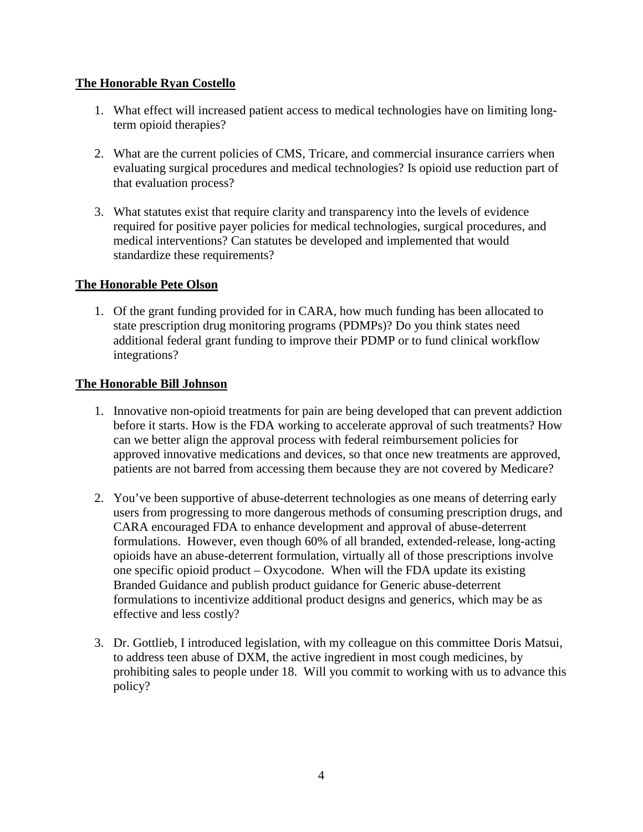#### **The Honorable Ryan Costello**

- 1. What effect will increased patient access to medical technologies have on limiting longterm opioid therapies?
- 2. What are the current policies of CMS, Tricare, and commercial insurance carriers when evaluating surgical procedures and medical technologies? Is opioid use reduction part of that evaluation process?
- 3. What statutes exist that require clarity and transparency into the levels of evidence required for positive payer policies for medical technologies, surgical procedures, and medical interventions? Can statutes be developed and implemented that would standardize these requirements?

#### **The Honorable Pete Olson**

1. Of the grant funding provided for in CARA, how much funding has been allocated to state prescription drug monitoring programs (PDMPs)? Do you think states need additional federal grant funding to improve their PDMP or to fund clinical workflow integrations?

#### **The Honorable Bill Johnson**

- 1. Innovative non-opioid treatments for pain are being developed that can prevent addiction before it starts. How is the FDA working to accelerate approval of such treatments? How can we better align the approval process with federal reimbursement policies for approved innovative medications and devices, so that once new treatments are approved, patients are not barred from accessing them because they are not covered by Medicare?
- 2. You've been supportive of abuse-deterrent technologies as one means of deterring early users from progressing to more dangerous methods of consuming prescription drugs, and CARA encouraged FDA to enhance development and approval of abuse-deterrent formulations. However, even though 60% of all branded, extended-release, long-acting opioids have an abuse-deterrent formulation, virtually all of those prescriptions involve one specific opioid product – Oxycodone. When will the FDA update its existing Branded Guidance and publish product guidance for Generic abuse-deterrent formulations to incentivize additional product designs and generics, which may be as effective and less costly?
- 3. Dr. Gottlieb, I introduced legislation, with my colleague on this committee Doris Matsui, to address teen abuse of DXM, the active ingredient in most cough medicines, by prohibiting sales to people under 18. Will you commit to working with us to advance this policy?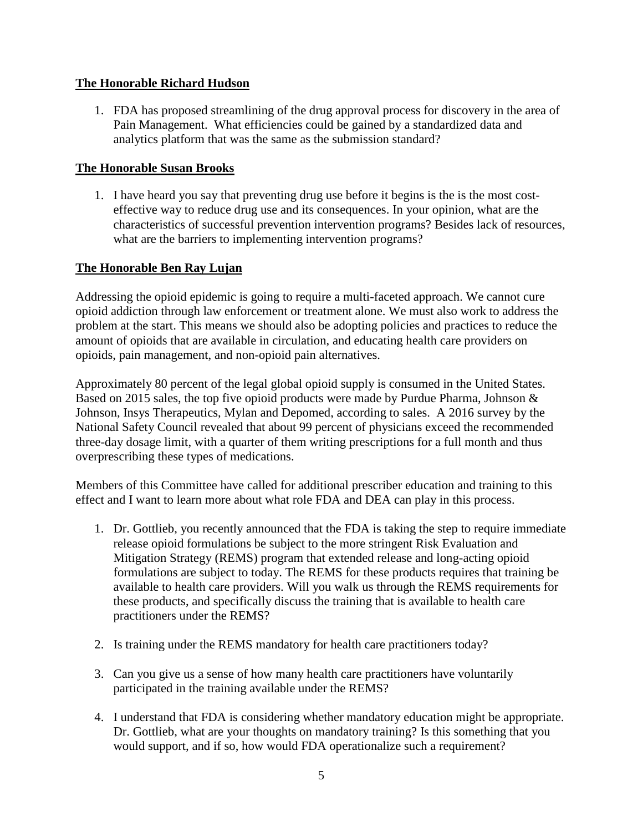#### **The Honorable Richard Hudson**

1. FDA has proposed streamlining of the drug approval process for discovery in the area of Pain Management. What efficiencies could be gained by a standardized data and analytics platform that was the same as the submission standard?

#### **The Honorable Susan Brooks**

1. I have heard you say that preventing drug use before it begins is the is the most costeffective way to reduce drug use and its consequences. In your opinion, what are the characteristics of successful prevention intervention programs? Besides lack of resources, what are the barriers to implementing intervention programs?

#### **The Honorable Ben Ray Lujan**

Addressing the opioid epidemic is going to require a multi-faceted approach. We cannot cure opioid addiction through law enforcement or treatment alone. We must also work to address the problem at the start. This means we should also be adopting policies and practices to reduce the amount of opioids that are available in circulation, and educating health care providers on opioids, pain management, and non-opioid pain alternatives.

Approximately 80 percent of the legal global opioid supply is consumed in the United States. Based on 2015 sales, the top five opioid products were made by Purdue Pharma, Johnson & Johnson, Insys Therapeutics, Mylan and Depomed, according to sales. A 2016 survey by the National Safety Council revealed that about 99 percent of physicians exceed the recommended three-day dosage limit, with a quarter of them writing prescriptions for a full month and thus overprescribing these types of medications.

Members of this Committee have called for additional prescriber education and training to this effect and I want to learn more about what role FDA and DEA can play in this process.

- 1. Dr. Gottlieb, you recently announced that the FDA is taking the step to require immediate release opioid formulations be subject to the more stringent Risk Evaluation and Mitigation Strategy (REMS) program that extended release and long-acting opioid formulations are subject to today. The REMS for these products requires that training be available to health care providers. Will you walk us through the REMS requirements for these products, and specifically discuss the training that is available to health care practitioners under the REMS?
- 2. Is training under the REMS mandatory for health care practitioners today?
- 3. Can you give us a sense of how many health care practitioners have voluntarily participated in the training available under the REMS?
- 4. I understand that FDA is considering whether mandatory education might be appropriate. Dr. Gottlieb, what are your thoughts on mandatory training? Is this something that you would support, and if so, how would FDA operationalize such a requirement?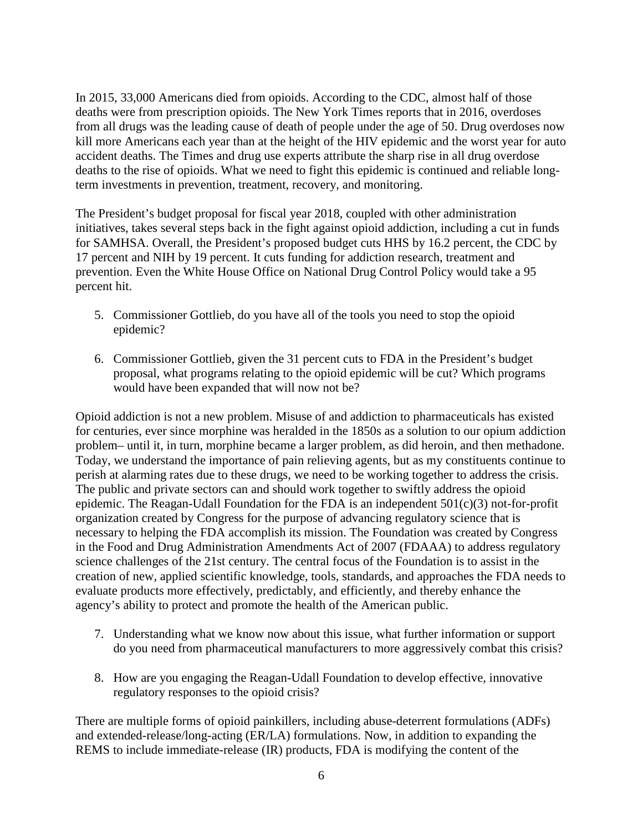In 2015, 33,000 Americans died from opioids. According to the CDC, almost half of those deaths were from prescription opioids. The New York Times reports that in 2016, overdoses from all drugs was the leading cause of death of people under the age of 50. Drug overdoses now kill more Americans each year than at the height of the HIV epidemic and the worst year for auto accident deaths. The Times and drug use experts attribute the sharp rise in all drug overdose deaths to the rise of opioids. What we need to fight this epidemic is continued and reliable longterm investments in prevention, treatment, recovery, and monitoring.

The President's budget proposal for fiscal year 2018, coupled with other administration initiatives, takes several steps back in the fight against opioid addiction, including a cut in funds for SAMHSA. Overall, the President's proposed budget cuts HHS by 16.2 percent, the CDC by 17 percent and NIH by 19 percent. It cuts funding for addiction research, treatment and prevention. Even the White House Office on National Drug Control Policy would take a 95 percent hit.

- 5. Commissioner Gottlieb, do you have all of the tools you need to stop the opioid epidemic?
- 6. Commissioner Gottlieb, given the 31 percent cuts to FDA in the President's budget proposal, what programs relating to the opioid epidemic will be cut? Which programs would have been expanded that will now not be?

Opioid addiction is not a new problem. Misuse of and addiction to pharmaceuticals has existed for centuries, ever since morphine was heralded in the 1850s as a solution to our opium addiction problem– until it, in turn, morphine became a larger problem, as did heroin, and then methadone. Today, we understand the importance of pain relieving agents, but as my constituents continue to perish at alarming rates due to these drugs, we need to be working together to address the crisis. The public and private sectors can and should work together to swiftly address the opioid epidemic. The Reagan-Udall Foundation for the FDA is an independent 501(c)(3) not-for-profit organization created by Congress for the purpose of advancing regulatory science that is necessary to helping the FDA accomplish its mission. The Foundation was created by Congress in the Food and Drug Administration Amendments Act of 2007 (FDAAA) to address regulatory science challenges of the 21st century. The central focus of the Foundation is to assist in the creation of new, applied scientific knowledge, tools, standards, and approaches the FDA needs to evaluate products more effectively, predictably, and efficiently, and thereby enhance the agency's ability to protect and promote the health of the American public.

- 7. Understanding what we know now about this issue, what further information or support do you need from pharmaceutical manufacturers to more aggressively combat this crisis?
- 8. How are you engaging the Reagan-Udall Foundation to develop effective, innovative regulatory responses to the opioid crisis?

There are multiple forms of opioid painkillers, including abuse-deterrent formulations (ADFs) and extended-release/long-acting (ER/LA) formulations. Now, in addition to expanding the REMS to include immediate-release (IR) products, FDA is modifying the content of the